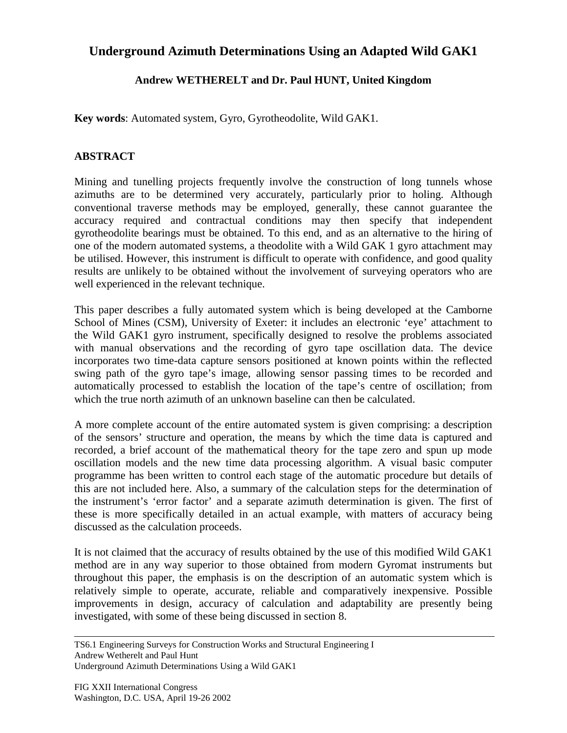## **Underground Azimuth Determinations Using an Adapted Wild GAK1**

## **Andrew WETHERELT and Dr. Paul HUNT, United Kingdom**

**Key words**: Automated system, Gyro, Gyrotheodolite, Wild GAK1.

## **ABSTRACT**

Mining and tunelling projects frequently involve the construction of long tunnels whose azimuths are to be determined very accurately, particularly prior to holing. Although conventional traverse methods may be employed, generally, these cannot guarantee the accuracy required and contractual conditions may then specify that independent gyrotheodolite bearings must be obtained. To this end, and as an alternative to the hiring of one of the modern automated systems, a theodolite with a Wild GAK 1 gyro attachment may be utilised. However, this instrument is difficult to operate with confidence, and good quality results are unlikely to be obtained without the involvement of surveying operators who are well experienced in the relevant technique.

This paper describes a fully automated system which is being developed at the Camborne School of Mines (CSM), University of Exeter: it includes an electronic 'eye' attachment to the Wild GAK1 gyro instrument, specifically designed to resolve the problems associated with manual observations and the recording of gyro tape oscillation data. The device incorporates two time-data capture sensors positioned at known points within the reflected swing path of the gyro tape's image, allowing sensor passing times to be recorded and automatically processed to establish the location of the tape's centre of oscillation; from which the true north azimuth of an unknown baseline can then be calculated.

A more complete account of the entire automated system is given comprising: a description of the sensors' structure and operation, the means by which the time data is captured and recorded, a brief account of the mathematical theory for the tape zero and spun up mode oscillation models and the new time data processing algorithm. A visual basic computer programme has been written to control each stage of the automatic procedure but details of this are not included here. Also, a summary of the calculation steps for the determination of the instrument's 'error factor' and a separate azimuth determination is given. The first of these is more specifically detailed in an actual example, with matters of accuracy being discussed as the calculation proceeds.

It is not claimed that the accuracy of results obtained by the use of this modified Wild GAK1 method are in any way superior to those obtained from modern Gyromat instruments but throughout this paper, the emphasis is on the description of an automatic system which is relatively simple to operate, accurate, reliable and comparatively inexpensive. Possible improvements in design, accuracy of calculation and adaptability are presently being investigated, with some of these being discussed in section 8.

TS6.1 Engineering Surveys for Construction Works and Structural Engineering I Andrew Wetherelt and Paul Hunt Underground Azimuth Determinations Using a Wild GAK1